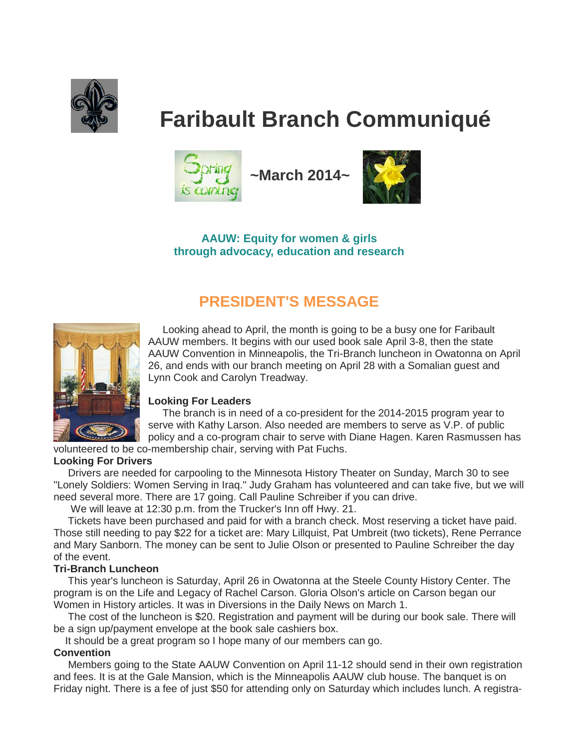

# **Faribault Branch Communiqué**



 **~March 2014~**



**AAUW: Equity for women & girls through advocacy, education and research**

## **PRESIDENT'S MESSAGE**



 Looking ahead to April, the month is going to be a busy one for Faribault AAUW members. It begins with our used book sale April 3-8, then the state AAUW Convention in Minneapolis, the Tri-Branch luncheon in Owatonna on April 26, and ends with our branch meeting on April 28 with a Somalian guest and Lynn Cook and Carolyn Treadway.

#### **Looking For Leaders**

 The branch is in need of a co-president for the 2014-2015 program year to serve with Kathy Larson. Also needed are members to serve as V.P. of public policy and a co-program chair to serve with Diane Hagen. Karen Rasmussen has

volunteered to be co-membership chair, serving with Pat Fuchs.

#### **Looking For Drivers**

 Drivers are needed for carpooling to the Minnesota History Theater on Sunday, March 30 to see "Lonely Soldiers: Women Serving in Iraq." Judy Graham has volunteered and can take five, but we will need several more. There are 17 going. Call Pauline Schreiber if you can drive.

We will leave at 12:30 p.m. from the Trucker's Inn off Hwy. 21.

 Tickets have been purchased and paid for with a branch check. Most reserving a ticket have paid. Those still needing to pay \$22 for a ticket are: Mary Lillquist, Pat Umbreit (two tickets), Rene Perrance and Mary Sanborn. The money can be sent to Julie Olson or presented to Pauline Schreiber the day of the event.

#### **Tri-Branch Luncheon**

 This year's luncheon is Saturday, April 26 in Owatonna at the Steele County History Center. The program is on the Life and Legacy of Rachel Carson. Gloria Olson's article on Carson began our Women in History articles. It was in Diversions in the Daily News on March 1.

 The cost of the luncheon is \$20. Registration and payment will be during our book sale. There will be a sign up/payment envelope at the book sale cashiers box.

It should be a great program so I hope many of our members can go.

#### **Convention**

 Members going to the State AAUW Convention on April 11-12 should send in their own registration and fees. It is at the Gale Mansion, which is the Minneapolis AAUW club house. The banquet is on Friday night. There is a fee of just \$50 for attending only on Saturday which includes lunch. A registra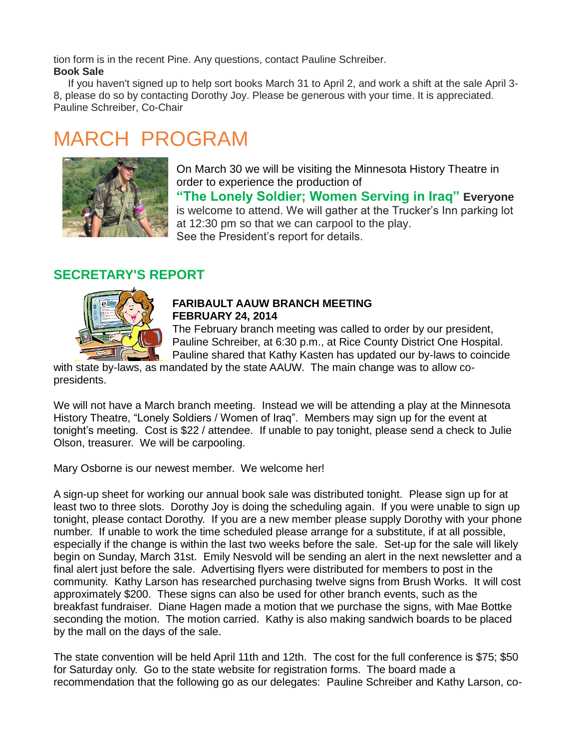tion form is in the recent Pine. Any questions, contact Pauline Schreiber. **Book Sale**

 If you haven't signed up to help sort books March 31 to April 2, and work a shift at the sale April 3- 8, please do so by contacting Dorothy Joy. Please be generous with your time. It is appreciated. Pauline Schreiber, Co-Chair

## MARCH PROGRAM



On March 30 we will be visiting the Minnesota History Theatre in order to experience the production of **"The Lonely Soldier; Women Serving in Iraq" Everyone** is welcome to attend. We will gather at the Trucker's Inn parking lot at 12:30 pm so that we can carpool to the play. See the President's report for details.

## **SECRETARY'S REPORT**



## **FARIBAULT AAUW BRANCH MEETING FEBRUARY 24, 2014**

The February branch meeting was called to order by our president, Pauline Schreiber, at 6:30 p.m., at Rice County District One Hospital. Pauline shared that Kathy Kasten has updated our by-laws to coincide

with state by-laws, as mandated by the state AAUW. The main change was to allow copresidents.

We will not have a March branch meeting. Instead we will be attending a play at the Minnesota History Theatre, "Lonely Soldiers / Women of Iraq". Members may sign up for the event at tonight's meeting. Cost is \$22 / attendee. If unable to pay tonight, please send a check to Julie Olson, treasurer. We will be carpooling.

Mary Osborne is our newest member. We welcome her!

A sign-up sheet for working our annual book sale was distributed tonight. Please sign up for at least two to three slots. Dorothy Joy is doing the scheduling again. If you were unable to sign up tonight, please contact Dorothy. If you are a new member please supply Dorothy with your phone number. If unable to work the time scheduled please arrange for a substitute, if at all possible, especially if the change is within the last two weeks before the sale. Set-up for the sale will likely begin on Sunday, March 31st. Emily Nesvold will be sending an alert in the next newsletter and a final alert just before the sale. Advertising flyers were distributed for members to post in the community. Kathy Larson has researched purchasing twelve signs from Brush Works. It will cost approximately \$200. These signs can also be used for other branch events, such as the breakfast fundraiser. Diane Hagen made a motion that we purchase the signs, with Mae Bottke seconding the motion. The motion carried. Kathy is also making sandwich boards to be placed by the mall on the days of the sale.

The state convention will be held April 11th and 12th. The cost for the full conference is \$75; \$50 for Saturday only. Go to the state website for registration forms. The board made a recommendation that the following go as our delegates: Pauline Schreiber and Kathy Larson, co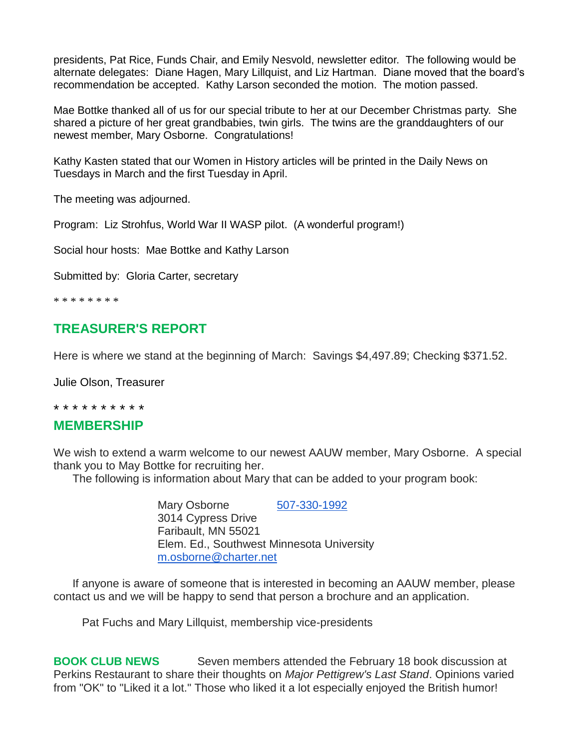presidents, Pat Rice, Funds Chair, and Emily Nesvold, newsletter editor. The following would be alternate delegates: Diane Hagen, Mary Lillquist, and Liz Hartman. Diane moved that the board's recommendation be accepted. Kathy Larson seconded the motion. The motion passed.

Mae Bottke thanked all of us for our special tribute to her at our December Christmas party. She shared a picture of her great grandbabies, twin girls. The twins are the granddaughters of our newest member, Mary Osborne. Congratulations!

Kathy Kasten stated that our Women in History articles will be printed in the Daily News on Tuesdays in March and the first Tuesday in April.

The meeting was adjourned.

Program: Liz Strohfus, World War II WASP pilot. (A wonderful program!)

Social hour hosts: Mae Bottke and Kathy Larson

Submitted by: Gloria Carter, secretary

\* \* \* \* \* \* \* \*

## **TREASURER'S REPORT**

Here is where we stand at the beginning of March: Savings \$4,497.89; Checking \$371.52.

Julie Olson, Treasurer

#### \* \* \* \* \* \* \* \* \* \*

### **MEMBERSHIP**

We wish to extend a warm welcome to our newest AAUW member, Mary Osborne. A special thank you to May Bottke for recruiting her.

The following is information about Mary that can be added to your program book:

Mary Osborne [507-330-1992](tel:507-330-1992) 3014 Cypress Drive Faribault, MN 55021 Elem. Ed., Southwest Minnesota University [m.osborne@charter.net](mailto:m.osborne@charter.net)

 If anyone is aware of someone that is interested in becoming an AAUW member, please contact us and we will be happy to send that person a brochure and an application.

Pat Fuchs and Mary Lillquist, membership vice-presidents

**BOOK CLUB NEWS** Seven members attended the February 18 book discussion at Perkins Restaurant to share their thoughts on *Major Pettigrew's Last Stand*. Opinions varied from "OK" to "Liked it a lot." Those who liked it a lot especially enjoyed the British humor!